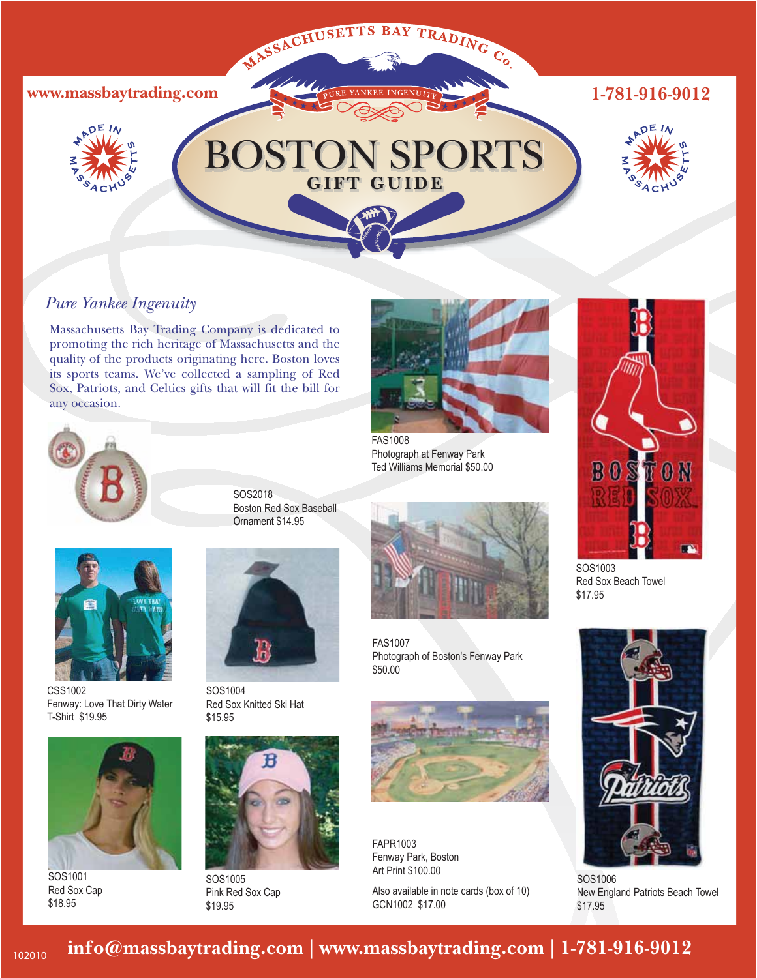

## *Pure Yankee Ingenuity*

Massachusetts Bay Trading Company is dedicated to promoting the rich heritage of Massachusetts and the quality of the products originating here. Boston loves its sports teams. We've collected a sampling of Red Sox, Patriots, and Celtics gifts that will fit the bill for any occasion.





CSS1002 Fenway: Love That Dirty Water T-Shirt \$19.95



SOS1001 Red Sox Cap \$18.95

SOS2018 Boston Red Sox Baseball Ornament \$14.95



SOS1004 Red Sox Knitted Ski Hat \$15.95



Pink Red Sox Cap \$19.95



FAS1008 Photograph at Fenway Park Ted Williams Memorial \$50.00



FAS1007 Photograph of Boston's Fenway Park \$50.00



FAPR1003 Fenway Park, Boston Art Print \$100.00

Also available in note cards (box of 10) GCN1002 \$17.00



SOS1003 Red Sox Beach Towel \$17.95



SOS1006 New England Patriots Beach Towel \$17.95

## **info@massbaytrading.com | www.massbaytrading.com | 1-781-916-9012**

102010